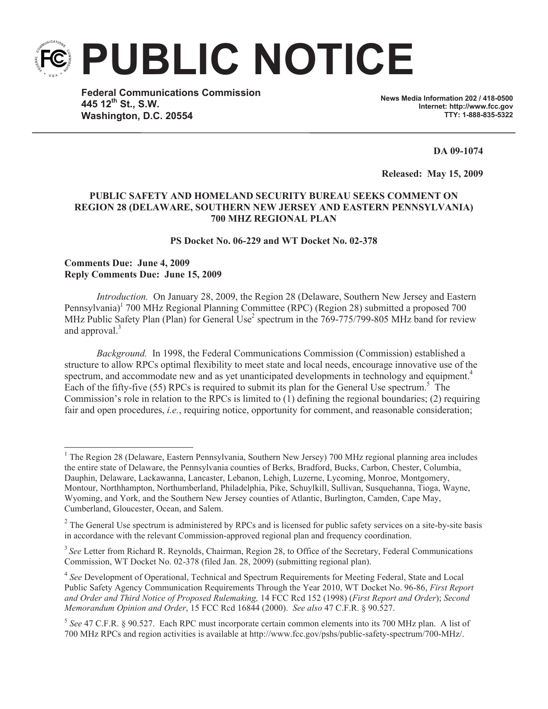**PUBLIC NOTICE**

**Federal Communications Commission 445 12th St., S.W. Washington, D.C. 20554**

**News Media Information 202 / 418-0500 Internet: http://www.fcc.gov TTY: 1-888-835-5322**

**DA 09-1074**

**Released: May 15, 2009** 

## **PUBLIC SAFETY AND HOMELAND SECURITY BUREAU SEEKS COMMENT ON REGION 28 (DELAWARE, SOUTHERN NEW JERSEY AND EASTERN PENNSYLVANIA) 700 MHZ REGIONAL PLAN**

**PS Docket No. 06-229 and WT Docket No. 02-378**

## **Comments Due: June 4, 2009 Reply Comments Due: June 15, 2009**

*Introduction.* On January 28, 2009, the Region 28 (Delaware, Southern New Jersey and Eastern Pennsylvania)<sup>1</sup> 700 MHz Regional Planning Committee (RPC) (Region 28) submitted a proposed 700 MHz Public Safety Plan (Plan) for General Use<sup>2</sup> spectrum in the 769-775/799-805 MHz band for review and approval.<sup>3</sup>

*Background.* In 1998, the Federal Communications Commission (Commission) established a structure to allow RPCs optimal flexibility to meet state and local needs, encourage innovative use of the spectrum, and accommodate new and as yet unanticipated developments in technology and equipment.<sup>4</sup> Each of the fifty-five (55) RPCs is required to submit its plan for the General Use spectrum.<sup>5</sup> The Commission's role in relation to the RPCs is limited to (1) defining the regional boundaries; (2) requiring fair and open procedures, *i.e.*, requiring notice, opportunity for comment, and reasonable consideration;

<sup>&</sup>lt;sup>1</sup> The Region 28 (Delaware, Eastern Pennsylvania, Southern New Jersey) 700 MHz regional planning area includes the entire state of Delaware, the Pennsylvania counties of Berks, Bradford, Bucks, Carbon, Chester, Columbia, Dauphin, Delaware, Lackawanna, Lancaster, Lebanon, Lehigh, Luzerne, Lycoming, Monroe, Montgomery, Montour, Northhampton, Northumberland, Philadelphia, Pike, Schuylkill, Sullivan, Susquehanna, Tioga, Wayne, Wyoming, and York, and the Southern New Jersey counties of Atlantic, Burlington, Camden, Cape May, Cumberland, Gloucester, Ocean, and Salem.

 $2^2$  The General Use spectrum is administered by RPCs and is licensed for public safety services on a site-by-site basis in accordance with the relevant Commission-approved regional plan and frequency coordination.

<sup>&</sup>lt;sup>3</sup> See Letter from Richard R. Reynolds, Chairman, Region 28, to Office of the Secretary, Federal Communications Commission, WT Docket No. 02-378 (filed Jan. 28, 2009) (submitting regional plan).

<sup>&</sup>lt;sup>4</sup> See Development of Operational, Technical and Spectrum Requirements for Meeting Federal, State and Local Public Safety Agency Communication Requirements Through the Year 2010, WT Docket No. 96-86, *First Report and Order and Third Notice of Proposed Rulemaking,* 14 FCC Rcd 152 (1998) (*First Report and Order*); *Second Memorandum Opinion and Order*, 15 FCC Rcd 16844 (2000). *See also* 47 C.F.R. § 90.527.

<sup>5</sup> *See* 47 C.F.R. § 90.527. Each RPC must incorporate certain common elements into its 700 MHz plan. A list of 700 MHz RPCs and region activities is available at http://www.fcc.gov/pshs/public-safety-spectrum/700-MHz/.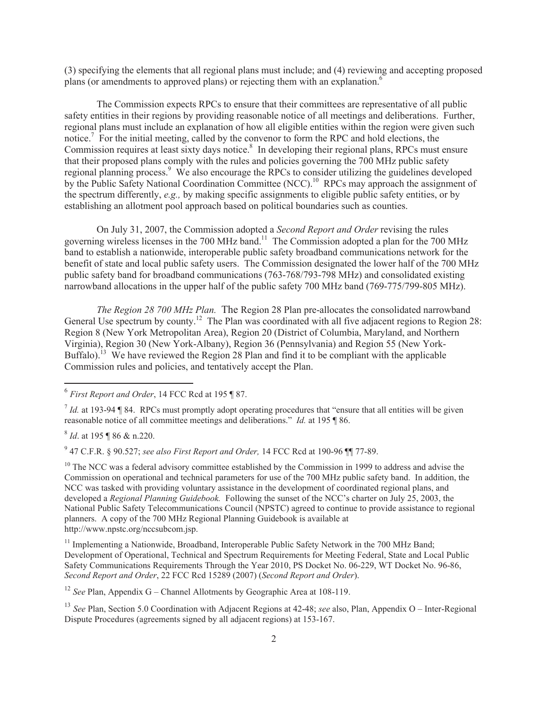(3) specifying the elements that all regional plans must include; and (4) reviewing and accepting proposed plans (or amendments to approved plans) or rejecting them with an explanation.<sup>6</sup>

The Commission expects RPCs to ensure that their committees are representative of all public safety entities in their regions by providing reasonable notice of all meetings and deliberations. Further, regional plans must include an explanation of how all eligible entities within the region were given such notice.<sup>7</sup> For the initial meeting, called by the convenor to form the RPC and hold elections, the Commission requires at least sixty days notice.<sup>8</sup> In developing their regional plans, RPCs must ensure that their proposed plans comply with the rules and policies governing the 700 MHz public safety regional planning process.<sup>9</sup> We also encourage the RPCs to consider utilizing the guidelines developed by the Public Safety National Coordination Committee (NCC).<sup>10</sup> RPCs may approach the assignment of the spectrum differently, *e.g.,* by making specific assignments to eligible public safety entities, or by establishing an allotment pool approach based on political boundaries such as counties.

On July 31, 2007, the Commission adopted a *Second Report and Order* revising the rules governing wireless licenses in the 700 MHz band.<sup>11</sup> The Commission adopted a plan for the 700 MHz band to establish a nationwide, interoperable public safety broadband communications network for the benefit of state and local public safety users. The Commission designated the lower half of the 700 MHz public safety band for broadband communications (763-768/793-798 MHz) and consolidated existing narrowband allocations in the upper half of the public safety 700 MHz band (769-775/799-805 MHz).

*The Region 28 700 MHz Plan.* The Region 28 Plan pre-allocates the consolidated narrowband General Use spectrum by county.<sup>12</sup> The Plan was coordinated with all five adjacent regions to Region 28: Region 8 (New York Metropolitan Area), Region 20 (District of Columbia, Maryland, and Northern Virginia), Region 30 (New York-Albany), Region 36 (Pennsylvania) and Region 55 (New York-Buffalo).<sup>13</sup> We have reviewed the Region 28 Plan and find it to be compliant with the applicable Commission rules and policies, and tentatively accept the Plan.

8 *Id*. at 195 ¶ 86 & n.220.

9 47 C.F.R. § 90.527; *see also First Report and Order,* 14 FCC Rcd at 190-96 ¶¶ 77-89.

 $10$  The NCC was a federal advisory committee established by the Commission in 1999 to address and advise the Commission on operational and technical parameters for use of the 700 MHz public safety band. In addition, the NCC was tasked with providing voluntary assistance in the development of coordinated regional plans, and developed a *Regional Planning Guidebook.* Following the sunset of the NCC's charter on July 25, 2003, the National Public Safety Telecommunications Council (NPSTC) agreed to continue to provide assistance to regional planners. A copy of the 700 MHz Regional Planning Guidebook is available at http://www.npstc.org/nccsubcom.jsp.

<sup>11</sup> Implementing a Nationwide, Broadband, Interoperable Public Safety Network in the 700 MHz Band; Development of Operational, Technical and Spectrum Requirements for Meeting Federal, State and Local Public Safety Communications Requirements Through the Year 2010, PS Docket No. 06-229, WT Docket No. 96-86, *Second Report and Order*, 22 FCC Rcd 15289 (2007) (*Second Report and Order*).

<sup>12</sup> *See* Plan, Appendix G – Channel Allotments by Geographic Area at 108-119.

<sup>13</sup> *See* Plan, Section 5.0 Coordination with Adjacent Regions at 42-48; *see* also, Plan, Appendix O – Inter-Regional Dispute Procedures (agreements signed by all adjacent regions) at 153-167.

<sup>6</sup> *First Report and Order*, 14 FCC Rcd at 195 ¶ 87.

 $<sup>7</sup>$  *Id.* at 193-94 ¶ 84. RPCs must promptly adopt operating procedures that "ensure that all entities will be given</sup> reasonable notice of all committee meetings and deliberations." *Id.* at 195 ¶ 86.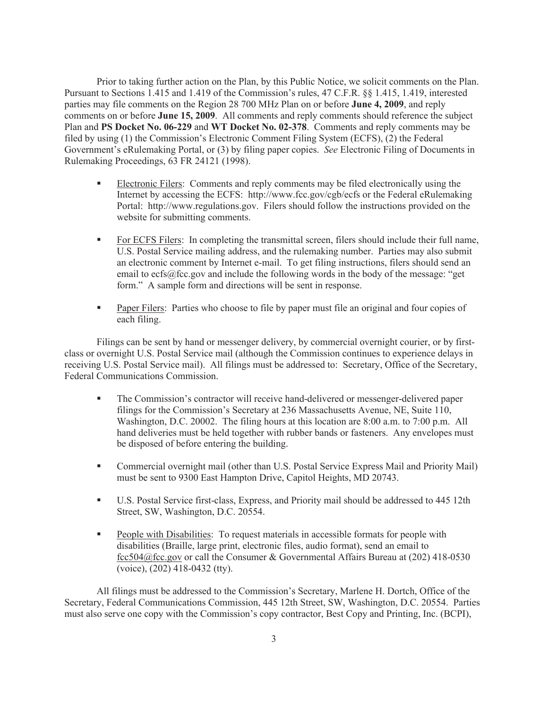Prior to taking further action on the Plan, by this Public Notice, we solicit comments on the Plan. Pursuant to Sections 1.415 and 1.419 of the Commission's rules, 47 C.F.R. §§ 1.415, 1.419, interested parties may file comments on the Region 28 700 MHz Plan on or before **June 4, 2009**, and reply comments on or before **June 15, 2009**. All comments and reply comments should reference the subject Plan and **PS Docket No. 06-229** and **WT Docket No. 02-378**. Comments and reply comments may be filed by using (1) the Commission's Electronic Comment Filing System (ECFS), (2) the Federal Government's eRulemaking Portal, or (3) by filing paper copies. *See* Electronic Filing of Documents in Rulemaking Proceedings, 63 FR 24121 (1998).

- § Electronic Filers: Comments and reply comments may be filed electronically using the Internet by accessing the ECFS: http://www.fcc.gov/cgb/ecfs or the Federal eRulemaking Portal: http://www.regulations.gov. Filers should follow the instructions provided on the website for submitting comments.
- For ECFS Filers: In completing the transmittal screen, filers should include their full name, U.S. Postal Service mailing address, and the rulemaking number. Parties may also submit an electronic comment by Internet e-mail. To get filing instructions, filers should send an email to ecfs@fcc.gov and include the following words in the body of the message: "get form." A sample form and directions will be sent in response.
- **Paper Filers:** Parties who choose to file by paper must file an original and four copies of each filing.

Filings can be sent by hand or messenger delivery, by commercial overnight courier, or by firstclass or overnight U.S. Postal Service mail (although the Commission continues to experience delays in receiving U.S. Postal Service mail). All filings must be addressed to: Secretary, Office of the Secretary, Federal Communications Commission.

- § The Commission's contractor will receive hand-delivered or messenger-delivered paper filings for the Commission's Secretary at 236 Massachusetts Avenue, NE, Suite 110, Washington, D.C. 20002. The filing hours at this location are 8:00 a.m. to 7:00 p.m. All hand deliveries must be held together with rubber bands or fasteners. Any envelopes must be disposed of before entering the building.
- Commercial overnight mail (other than U.S. Postal Service Express Mail and Priority Mail) must be sent to 9300 East Hampton Drive, Capitol Heights, MD 20743.
- § U.S. Postal Service first-class, Express, and Priority mail should be addressed to 445 12th Street, SW, Washington, D.C. 20554.
- People with Disabilities: To request materials in accessible formats for people with disabilities (Braille, large print, electronic files, audio format), send an email to fcc504@fcc.gov or call the Consumer & Governmental Affairs Bureau at (202) 418-0530 (voice), (202) 418-0432 (tty).

All filings must be addressed to the Commission's Secretary, Marlene H. Dortch, Office of the Secretary, Federal Communications Commission, 445 12th Street, SW, Washington, D.C. 20554. Parties must also serve one copy with the Commission's copy contractor, Best Copy and Printing, Inc. (BCPI),